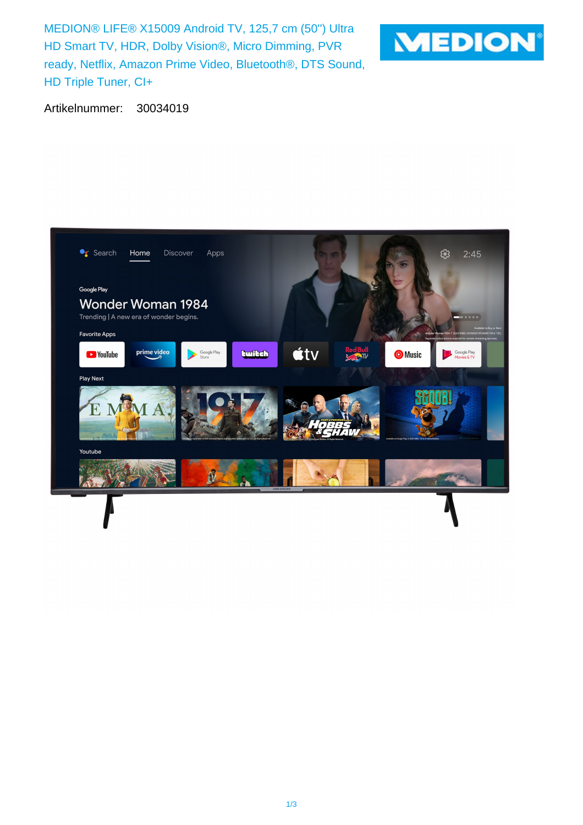MEDION® LIFE® X15009 Android TV, 125,7 cm (50'') Ultra HD Smart TV, HDR, Dolby Vision®, Micro Dimming, PVR ready, Netflix, Amazon Prime Video, Bluetooth®, DTS Sound, HD Triple Tuner, CI+



Artikelnummer: 30034019

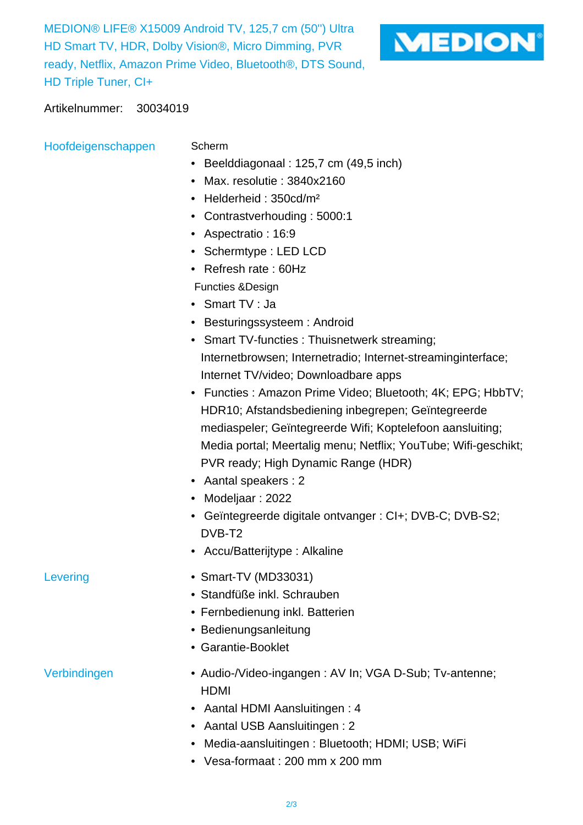MEDION® LIFE® X15009 Android TV, 125,7 cm (50'') Ultra HD Smart TV, HDR, Dolby Vision®, Micro Dimming, PVR ready, Netflix, Amazon Prime Video, Bluetooth®, DTS Sound, HD Triple Tuner, CI+



## Artikelnummer: 30034019

Hoofdeigenschappen Scherm

- Beelddiagonaal : 125,7 cm (49,5 inch)
- Max. resolutie : 3840x2160
- Helderheid: 350cd/m<sup>2</sup>
- Contrastverhouding : 5000:1
- Aspectratio : 16:9
- Schermtype : LED LCD
- Refresh rate : 60Hz
- Functies &Design
- Smart TV : Ja
- Besturingssysteem : Android
- Smart TV-functies : Thuisnetwerk streaming; Internetbrowsen; Internetradio; Internet-streaminginterface; Internet TV/video; Downloadbare apps
- Functies : Amazon Prime Video; Bluetooth; 4K; EPG; HbbTV; HDR10; Afstandsbediening inbegrepen; Geïntegreerde mediaspeler; Geïntegreerde Wifi; Koptelefoon aansluiting; Media portal; Meertalig menu; Netflix; YouTube; Wifi-geschikt; PVR ready; High Dynamic Range (HDR)
- Aantal speakers : 2
- Modeljaar : 2022
- Geïntegreerde digitale ontvanger : CI+; DVB-C; DVB-S2; DVB-T2
- Accu/Batterijtype : Alkaline
- Levering Smart-TV (MD33031)
	- Standfüße inkl. Schrauben
	- Fernbedienung inkl. Batterien
	- Bedienungsanleitung
	- Garantie-Booklet

- Verbindingen  **Audio-/Video-ingangen : AV In; VGA D-Sub**; Tv-antenne; HDMI
	- Aantal HDMI Aansluitingen : 4
	- Aantal USB Aansluitingen : 2
	- Media-aansluitingen : Bluetooth; HDMI; USB; WiFi
	- Vesa-formaat : 200 mm x 200 mm